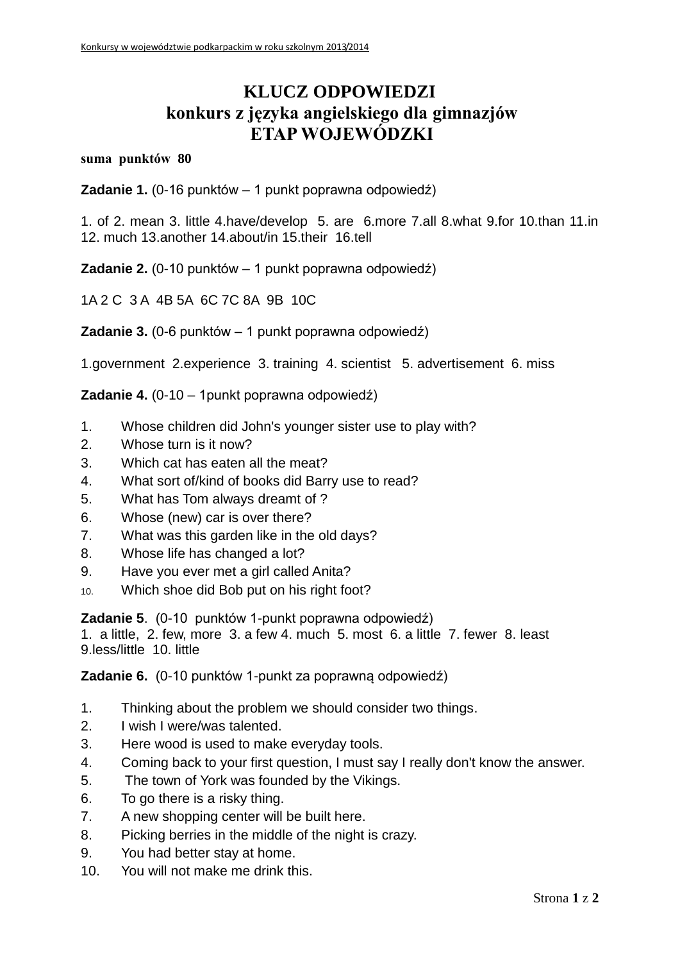## **KLUCZ ODPOWIEDZI konkurs z języka angielskiego dla gimnazjów ETAP WOJEWÓDZKI**

## **suma punktów 80**

**Zadanie 1.** (0-16 punktów – 1 punkt poprawna odpowiedź)

1. of 2. mean 3. little 4.have/develop 5. are 6.more 7.all 8.what 9.for 10.than 11.in 12. much 13.another 14.about/in 15.their 16.tell

**Zadanie 2.** (0-10 punktów – 1 punkt poprawna odpowiedź)

1A 2 C 3 A 4B 5A 6C 7C 8A 9B 10C

**Zadanie 3.** (0-6 punktów – 1 punkt poprawna odpowiedź)

1.government 2.experience 3. training 4. scientist 5. advertisement 6. miss

**Zadanie 4.** (0-10 – 1punkt poprawna odpowiedź)

- 1. Whose children did John's younger sister use to play with?
- 2. Whose turn is it now?
- 3. Which cat has eaten all the meat?
- 4. What sort of/kind of books did Barry use to read?
- 5. What has Tom always dreamt of ?
- 6. Whose (new) car is over there?
- 7. What was this garden like in the old days?
- 8. Whose life has changed a lot?
- 9. Have you ever met a girl called Anita?
- 10. Which shoe did Bob put on his right foot?

**Zadanie 5**. (0-10 punktów 1-punkt poprawna odpowiedź)

1. a little, 2. few, more 3. a few 4. much 5. most 6. a little 7. fewer 8. least 9.less/little 10. little

**Zadanie 6.** (0-10 punktów 1-punkt za poprawną odpowiedź)

- 1. Thinking about the problem we should consider two things.
- 2. I wish I were/was talented.
- 3. Here wood is used to make everyday tools.
- 4. Coming back to your first question, I must say I really don't know the answer.
- 5. The town of York was founded by the Vikings.
- 6. To go there is a risky thing.
- 7. A new shopping center will be built here.
- 8. Picking berries in the middle of the night is crazy.
- 9. You had better stay at home.
- 10. You will not make me drink this.